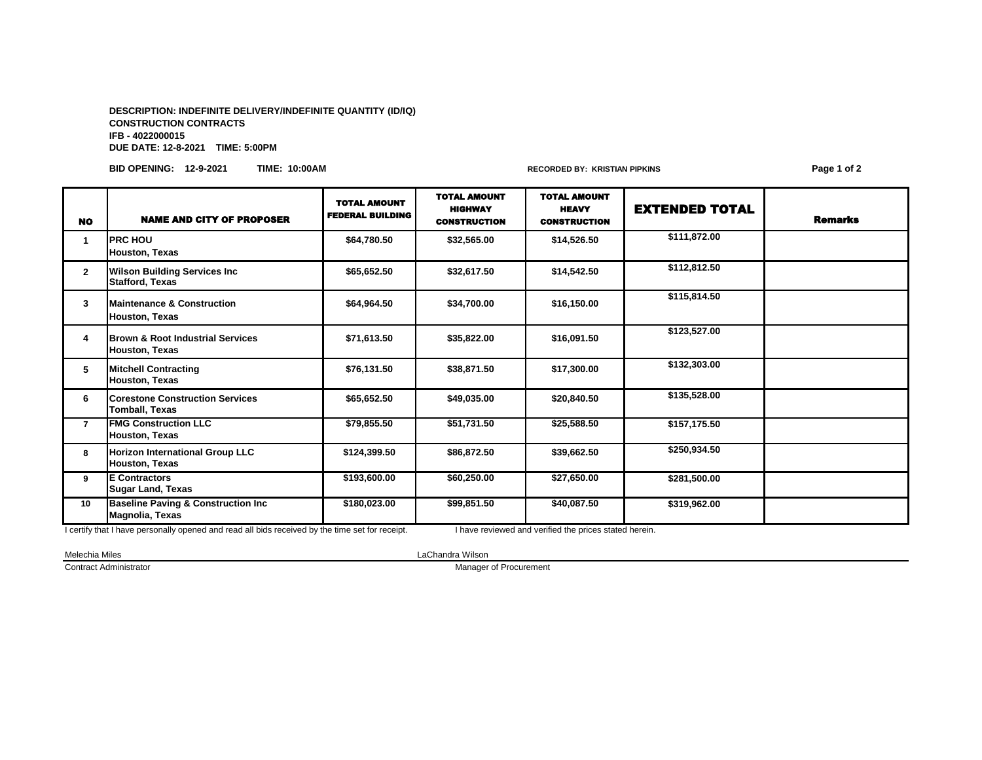## **DESCRIPTION: INDEFINITE DELIVERY/INDEFINITE QUANTITY (ID/IQ) CONSTRUCTION CONTRACTS IFB - 4022000015 DUE DATE: 12-8-2021 TIME: 5:00PM**

**BID OPENING: 12-9-2021 TIME: 10:00AM RECORDED BY: KRISTIAN PIPKINS Page 1 of 2**

| <b>NO</b>    | <b>NAME AND CITY OF PROPOSER</b>                                     | <b>TOTAL AMOUNT</b><br><b>FEDERAL BUILDING</b> | <b>TOTAL AMOUNT</b><br><b>HIGHWAY</b><br><b>CONSTRUCTION</b> | <b>TOTAL AMOUNT</b><br><b>HEAVY</b><br><b>CONSTRUCTION</b> | <b>EXTENDED TOTAL</b> | <b>Remarks</b> |
|--------------|----------------------------------------------------------------------|------------------------------------------------|--------------------------------------------------------------|------------------------------------------------------------|-----------------------|----------------|
| 1            | <b>PRC HOU</b><br><b>Houston, Texas</b>                              | \$64.780.50                                    | \$32,565.00                                                  | \$14,526.50                                                | \$111,872.00          |                |
| $\mathbf{2}$ | <b>Wilson Building Services Inc.</b><br><b>Stafford, Texas</b>       | \$65,652.50                                    | \$32,617.50                                                  | \$14,542.50                                                | \$112,812.50          |                |
| 3            | <b>Maintenance &amp; Construction</b><br><b>Houston, Texas</b>       | \$64,964.50                                    | \$34,700.00                                                  | \$16,150.00                                                | \$115,814.50          |                |
| 4            | <b>Brown &amp; Root Industrial Services</b><br><b>Houston, Texas</b> | \$71.613.50                                    | \$35,822.00                                                  | \$16,091.50                                                | \$123,527.00          |                |
| 5            | <b>Mitchell Contracting</b><br><b>Houston, Texas</b>                 | \$76.131.50                                    | \$38,871.50                                                  | \$17,300.00                                                | \$132,303.00          |                |
| 6            | <b>Corestone Construction Services</b><br><b>Tomball, Texas</b>      | \$65,652.50                                    | \$49,035.00                                                  | \$20,840.50                                                | \$135,528.00          |                |
| 7            | <b>FMG Construction LLC</b><br><b>Houston, Texas</b>                 | \$79,855.50                                    | \$51,731.50                                                  | \$25,588.50                                                | \$157,175.50          |                |
| 8            | <b>Horizon International Group LLC</b><br><b>Houston, Texas</b>      | \$124,399.50                                   | \$86,872.50                                                  | \$39,662.50                                                | \$250,934.50          |                |
| 9            | <b>IE Contractors</b><br><b>Sugar Land, Texas</b>                    | \$193,600.00                                   | \$60,250.00                                                  | \$27,650.00                                                | \$281,500.00          |                |
| 10           | <b>Baseline Paving &amp; Construction Inc</b><br>Magnolia, Texas     | \$180,023.00                                   | \$99,851.50                                                  | \$40,087.50                                                | \$319,962.00          |                |

I certify that I have personally opened and read all bids received by the time set for receipt. I have reviewed and verified the prices stated herein.

Melechia Miles LaChandra Wilson

**Contract Administrator** Manager of Procurement